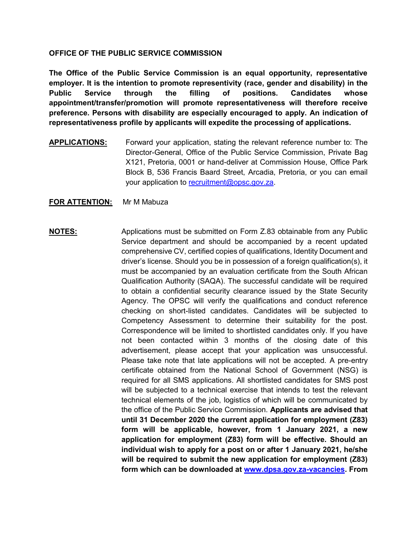## **OFFICE OF THE PUBLIC SERVICE COMMISSION**

**The Office of the Public Service Commission is an equal opportunity, representative employer. It is the intention to promote representivity (race, gender and disability) in the Public Service through the filling of positions. Candidates whose appointment/transfer/promotion will promote representativeness will therefore receive preference. Persons with disability are especially encouraged to apply. An indication of representativeness profile by applicants will expedite the processing of applications.**

**APPLICATIONS:** Forward your application, stating the relevant reference number to: The Director-General, Office of the Public Service Commission, Private Bag X121, Pretoria, 0001 or hand-deliver at Commission House, Office Park Block B, 536 Francis Baard Street, Arcadia, Pretoria, or you can email your application to [recruitment@opsc.gov.za.](mailto:recruitment@opsc.gov.za)

### **FOR ATTENTION:** Mr M Mabuza

**NOTES:** Applications must be submitted on Form Z.83 obtainable from any Public Service department and should be accompanied by a recent updated comprehensive CV, certified copies of qualifications, Identity Document and driver's license. Should you be in possession of a foreign qualification(s), it must be accompanied by an evaluation certificate from the South African Qualification Authority (SAQA). The successful candidate will be required to obtain a confidential security clearance issued by the State Security Agency. The OPSC will verify the qualifications and conduct reference checking on short-listed candidates. Candidates will be subjected to Competency Assessment to determine their suitability for the post. Correspondence will be limited to shortlisted candidates only. If you have not been contacted within 3 months of the closing date of this advertisement, please accept that your application was unsuccessful. Please take note that late applications will not be accepted. A pre-entry certificate obtained from the National School of Government (NSG) is required for all SMS applications. All shortlisted candidates for SMS post will be subjected to a technical exercise that intends to test the relevant technical elements of the job, logistics of which will be communicated by the office of the Public Service Commission. **Applicants are advised that until 31 December 2020 the current application for employment (Z83) form will be applicable, however, from 1 January 2021, a new application for employment (Z83) form will be effective. Should an individual wish to apply for a post on or after 1 January 2021, he/she will be required to submit the new application for employment (Z83) form which can be downloaded at [www.dpsa.gov.za-vacancies.](http://www.dpsa.gov.za-vacancies/) From**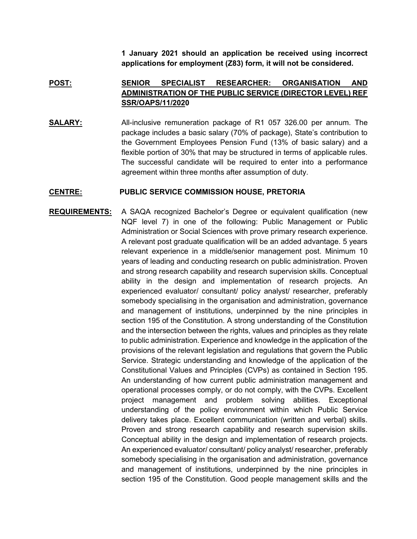**1 January 2021 should an application be received using incorrect applications for employment (Z83) form, it will not be considered.** 

## **POST: SENIOR SPECIALIST RESEARCHER: ORGANISATION AND ADMINISTRATION OF THE PUBLIC SERVICE (DIRECTOR LEVEL) REF SSR/OAPS/11/2020**

**SALARY:** All-inclusive remuneration package of R1 057 326.00 per annum. The package includes a basic salary (70% of package), State's contribution to the Government Employees Pension Fund (13% of basic salary) and a flexible portion of 30% that may be structured in terms of applicable rules. The successful candidate will be required to enter into a performance agreement within three months after assumption of duty.

#### **CENTRE: PUBLIC SERVICE COMMISSION HOUSE, PRETORIA**

# **REQUIREMENTS:** A SAQA recognized Bachelor's Degree or equivalent qualification (new NQF level 7) in one of the following: Public Management or Public Administration or Social Sciences with prove primary research experience. A relevant post graduate qualification will be an added advantage. 5 years relevant experience in a middle/senior management post. Minimum 10 years of leading and conducting research on public administration. Proven and strong research capability and research supervision skills. Conceptual ability in the design and implementation of research projects. An experienced evaluator/ consultant/ policy analyst/ researcher, preferably somebody specialising in the organisation and administration, governance and management of institutions, underpinned by the nine principles in section 195 of the Constitution. A strong understanding of the Constitution and the intersection between the rights, values and principles as they relate to public administration. Experience and knowledge in the application of the provisions of the relevant legislation and regulations that govern the Public Service. Strategic understanding and knowledge of the application of the Constitutional Values and Principles (CVPs) as contained in Section 195. An understanding of how current public administration management and operational processes comply, or do not comply, with the CVPs. Excellent project management and problem solving abilities. Exceptional understanding of the policy environment within which Public Service delivery takes place. Excellent communication (written and verbal) skills. Proven and strong research capability and research supervision skills. Conceptual ability in the design and implementation of research projects. An experienced evaluator/ consultant/ policy analyst/ researcher, preferably somebody specialising in the organisation and administration, governance and management of institutions, underpinned by the nine principles in section 195 of the Constitution. Good people management skills and the